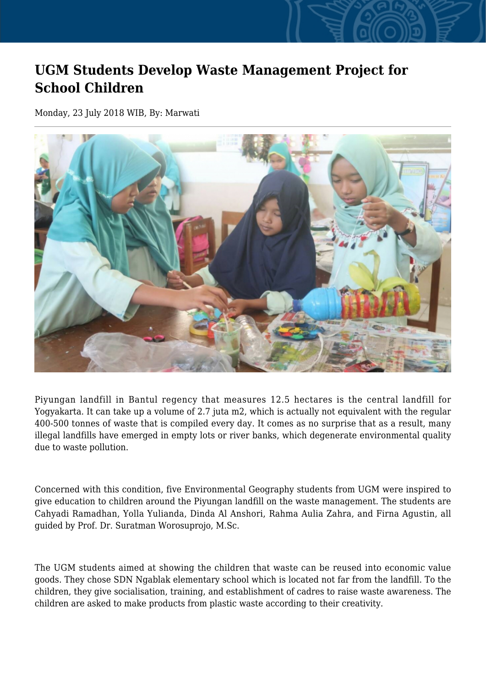## **UGM Students Develop Waste Management Project for School Children**

Monday, 23 July 2018 WIB, By: Marwati



Piyungan landfill in Bantul regency that measures 12.5 hectares is the central landfill for Yogyakarta. It can take up a volume of 2.7 juta m2, which is actually not equivalent with the regular 400-500 tonnes of waste that is compiled every day. It comes as no surprise that as a result, many illegal landfills have emerged in empty lots or river banks, which degenerate environmental quality due to waste pollution.

Concerned with this condition, five Environmental Geography students from UGM were inspired to give education to children around the Piyungan landfill on the waste management. The students are Cahyadi Ramadhan, Yolla Yulianda, Dinda Al Anshori, Rahma Aulia Zahra, and Firna Agustin, all guided by Prof. Dr. Suratman Worosuprojo, M.Sc.

The UGM students aimed at showing the children that waste can be reused into economic value goods. They chose SDN Ngablak elementary school which is located not far from the landfill. To the children, they give socialisation, training, and establishment of cadres to raise waste awareness. The children are asked to make products from plastic waste according to their creativity.